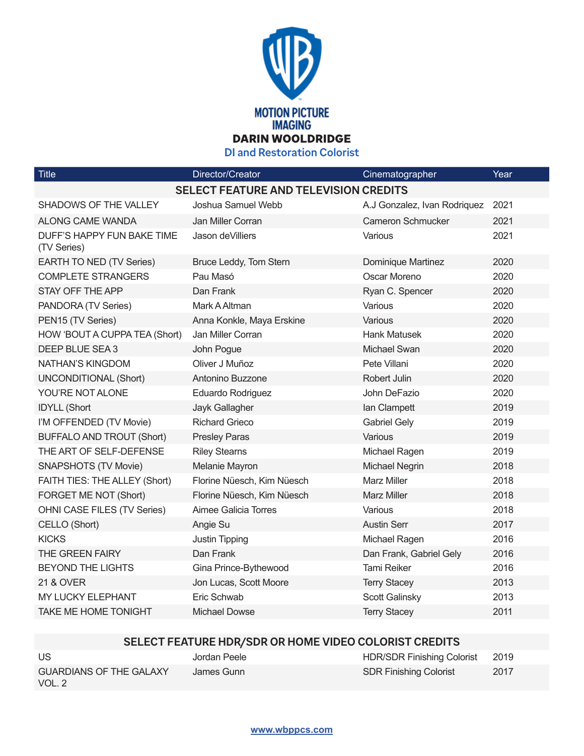

**DI and Restoration Colorist**

| <b>Title</b>                                 | Director/Creator           | Cinematographer              | Year |  |  |
|----------------------------------------------|----------------------------|------------------------------|------|--|--|
| <b>SELECT FEATURE AND TELEVISION CREDITS</b> |                            |                              |      |  |  |
| SHADOWS OF THE VALLEY                        | Joshua Samuel Webb         | A.J Gonzalez, Ivan Rodriquez | 2021 |  |  |
| ALONG CAME WANDA                             | Jan Miller Corran          | <b>Cameron Schmucker</b>     | 2021 |  |  |
| DUFF'S HAPPY FUN BAKE TIME<br>(TV Series)    | Jason de Villiers          | Various                      | 2021 |  |  |
| EARTH TO NED (TV Series)                     | Bruce Leddy, Tom Stern     | Dominique Martinez           | 2020 |  |  |
| <b>COMPLETE STRANGERS</b>                    | Pau Masó                   | Oscar Moreno                 | 2020 |  |  |
| STAY OFF THE APP                             | Dan Frank                  | Ryan C. Spencer              | 2020 |  |  |
| PANDORA (TV Series)                          | Mark A Altman              | Various                      | 2020 |  |  |
| PEN15 (TV Series)                            | Anna Konkle, Maya Erskine  | Various                      | 2020 |  |  |
| HOW 'BOUT A CUPPA TEA (Short)                | Jan Miller Corran          | <b>Hank Matusek</b>          | 2020 |  |  |
| DEEP BLUE SEA 3                              | John Pogue                 | <b>Michael Swan</b>          | 2020 |  |  |
| NATHAN'S KINGDOM                             | Oliver J Muñoz             | Pete Villani                 | 2020 |  |  |
| <b>UNCONDITIONAL (Short)</b>                 | Antonino Buzzone           | <b>Robert Julin</b>          | 2020 |  |  |
| YOU'RE NOT ALONE                             | Eduardo Rodriguez          | John DeFazio                 | 2020 |  |  |
| <b>IDYLL (Short</b>                          | Jayk Gallagher             | lan Clampett                 | 2019 |  |  |
| I'M OFFENDED (TV Movie)                      | <b>Richard Grieco</b>      | <b>Gabriel Gely</b>          | 2019 |  |  |
| <b>BUFFALO AND TROUT (Short)</b>             | <b>Presley Paras</b>       | Various                      | 2019 |  |  |
| THE ART OF SELF-DEFENSE                      | <b>Riley Stearns</b>       | Michael Ragen                | 2019 |  |  |
| <b>SNAPSHOTS (TV Movie)</b>                  | Melanie Mayron             | Michael Negrin               | 2018 |  |  |
| FAITH TIES: THE ALLEY (Short)                | Florine Nüesch, Kim Nüesch | <b>Marz Miller</b>           | 2018 |  |  |
| FORGET ME NOT (Short)                        | Florine Nüesch, Kim Nüesch | <b>Marz Miller</b>           | 2018 |  |  |
| OHNI CASE FILES (TV Series)                  | Aimee Galicia Torres       | Various                      | 2018 |  |  |
| CELLO (Short)                                | Angie Su                   | <b>Austin Serr</b>           | 2017 |  |  |
| <b>KICKS</b>                                 | Justin Tipping             | Michael Ragen                | 2016 |  |  |
| <b>THE GREEN FAIRY</b>                       | Dan Frank                  | Dan Frank, Gabriel Gely      | 2016 |  |  |
| <b>BEYOND THE LIGHTS</b>                     | Gina Prince-Bythewood      | <b>Tami Reiker</b>           | 2016 |  |  |
| <b>21 &amp; OVER</b>                         | Jon Lucas, Scott Moore     | <b>Terry Stacey</b>          | 2013 |  |  |
| MY LUCKY ELEPHANT                            | Eric Schwab                | Scott Galinsky               | 2013 |  |  |
| <b>TAKE ME HOME TONIGHT</b>                  | <b>Michael Dowse</b>       | <b>Terry Stacey</b>          | 2011 |  |  |
|                                              |                            |                              |      |  |  |

## **SELECT FEATURE HDR/SDR OR HOME VIDEO COLORIST CREDITS**

| US                                       | Jordan Peele | <b>HDR/SDR Finishing Colorist</b> | 2019 |
|------------------------------------------|--------------|-----------------------------------|------|
| <b>GUARDIANS OF THE GALAXY</b><br>VOL. 2 | James Gunn   | <b>SDR Finishing Colorist</b>     | 2017 |